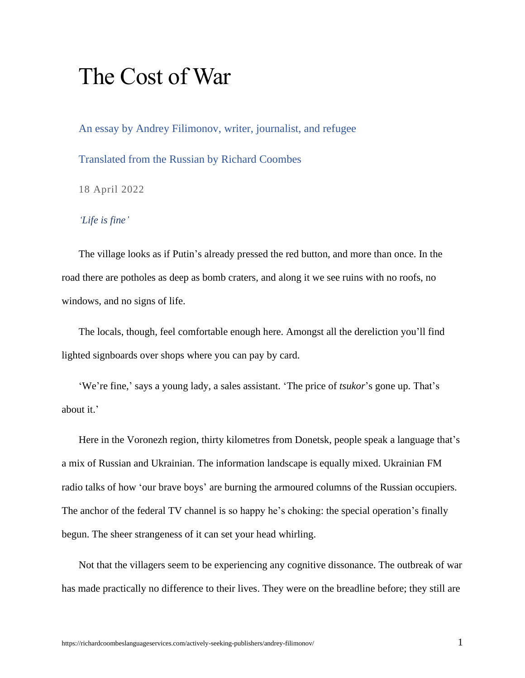## The Cost of War

An essay by Andrey Filimonov, writer, journalist, and refugee

Translated from the Russian by Richard Coombes

18 April 2022

*'Life is fine'*

The village looks as if Putin's already pressed the red button, and more than once. In the road there are potholes as deep as bomb craters, and along it we see ruins with no roofs, no windows, and no signs of life.

The locals, though, feel comfortable enough here. Amongst all the dereliction you'll find lighted signboards over shops where you can pay by card.

'We're fine,' says a young lady, a sales assistant. 'The price of *tsukor*'s gone up. That's about it.'

Here in the Voronezh region, thirty kilometres from Donetsk, people speak a language that's a mix of Russian and Ukrainian. The information landscape is equally mixed. Ukrainian FM radio talks of how 'our brave boys' are burning the armoured columns of the Russian occupiers. The anchor of the federal TV channel is so happy he's choking: the special operation's finally begun. The sheer strangeness of it can set your head whirling.

Not that the villagers seem to be experiencing any cognitive dissonance. The outbreak of war has made practically no difference to their lives. They were on the breadline before; they still are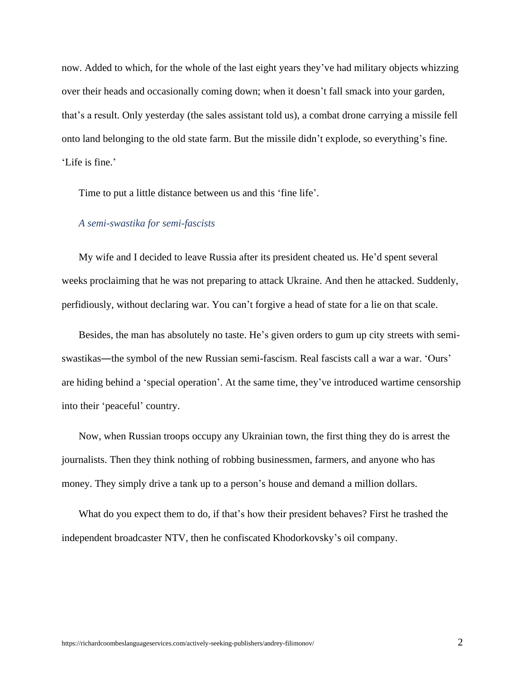now. Added to which, for the whole of the last eight years they've had military objects whizzing over their heads and occasionally coming down; when it doesn't fall smack into your garden, that's a result. Only yesterday (the sales assistant told us), a combat drone carrying a missile fell onto land belonging to the old state farm. But the missile didn't explode, so everything's fine. 'Life is fine.'

Time to put a little distance between us and this 'fine life'.

## *A semi-swastika for semi-fascists*

My wife and I decided to leave Russia after its president cheated us. He'd spent several weeks proclaiming that he was not preparing to attack Ukraine. And then he attacked. Suddenly, perfidiously, without declaring war. You can't forgive a head of state for a lie on that scale.

Besides, the man has absolutely no taste. He's given orders to gum up city streets with semiswastikas—the symbol of the new Russian semi-fascism. Real fascists call a war a war. 'Ours' are hiding behind a 'special operation'. At the same time, they've introduced wartime censorship into their 'peaceful' country.

Now, when Russian troops occupy any Ukrainian town, the first thing they do is arrest the journalists. Then they think nothing of robbing businessmen, farmers, and anyone who has money. They simply drive a tank up to a person's house and demand a million dollars.

What do you expect them to do, if that's how their president behaves? First he trashed the independent broadcaster NTV, then he confiscated Khodorkovsky's oil company.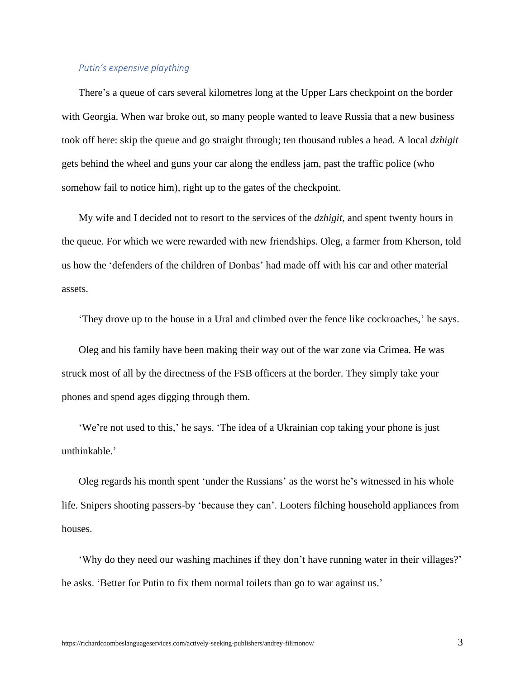## *Putin's expensive plaything*

There's a queue of cars several kilometres long at the Upper Lars checkpoint on the border with Georgia. When war broke out, so many people wanted to leave Russia that a new business took off here: skip the queue and go straight through; ten thousand rubles a head. A local *dzhigit* gets behind the wheel and guns your car along the endless jam, past the traffic police (who somehow fail to notice him), right up to the gates of the checkpoint.

My wife and I decided not to resort to the services of the *dzhigit*, and spent twenty hours in the queue. For which we were rewarded with new friendships. Oleg, a farmer from Kherson, told us how the 'defenders of the children of Donbas' had made off with his car and other material assets.

'They drove up to the house in a Ural and climbed over the fence like cockroaches,' he says.

Oleg and his family have been making their way out of the war zone via Crimea. He was struck most of all by the directness of the FSB officers at the border. They simply take your phones and spend ages digging through them.

'We're not used to this,' he says. 'The idea of a Ukrainian cop taking your phone is just unthinkable.'

Oleg regards his month spent 'under the Russians' as the worst he's witnessed in his whole life. Snipers shooting passers-by 'because they can'. Looters filching household appliances from houses.

'Why do they need our washing machines if they don't have running water in their villages?' he asks. 'Better for Putin to fix them normal toilets than go to war against us.'